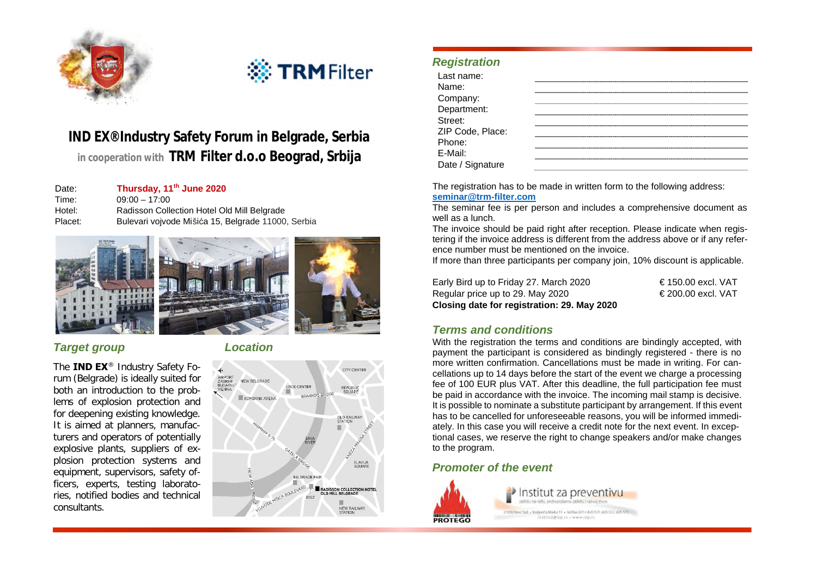

# ※ TRM Filter

# **IND EX® Industry** Safety Forum in Belgrade, Serbia in cooperation with **TRM** Filter **d.o.o** Beograd, Srbija

**Thursday, 11th June 2020** Time: 09:00 – 17:00 Placet: Bulevari vojvode Mišića 15, Belgrade 11000, Serbia







### *Target group Location*

**IND EX** ® Industry Safety Foplosion protection systems and equipment, supervisors, safety officers, experts, testing laboratories, notified bodies and technical consultants.



## *Registration*

| Last name:<br>Name:<br>Company:       |  |
|---------------------------------------|--|
|                                       |  |
| Department:                           |  |
| Street:<br>ZIP Code, Place:<br>Phone: |  |
|                                       |  |
|                                       |  |
| E-Mail:<br>Date / Signature           |  |
|                                       |  |

**seminar@trm-filter.com** Date: Thursday, 11<sup>th</sup> June 2020 **The Following address:** The registration has to be made in written form to the following address:

Hotel:<br>
Radisson Collection Hotel Old Mill Belgrade<br>
Placet: Bulovari voivode Mičića 15, Belgrade 11000, Serbia (in the seminar fee is per person and includes a comprehensive document as

The invoice should be paid right after reception. Please indicate when registering if the invoice address is different from the address above or if any reference number must be mentioned on the invoice.

If more than three participants per company join, 10% discount is applicable.

| Closing date for registration: 29. May 2020 |                   |
|---------------------------------------------|-------------------|
| Regular price up to 29. May 2020            | €200.00 excl. VAT |
| Early Bird up to Friday 27. March 2020      | €150.00 excl. VAT |

#### *Terms and conditions*

With the registration the terms and conditions are bindingly accepted, with payment the participant is considered as bindingly registered - there is no The IND EX<sup>®</sup> Industry Safety Fo-<br>
The IND EX<sup>®</sup> Industry Safety Fo-<br>
The CHIT CENTER CENTER CONFIDENT DURBANGE CONFIDENT CONFIDENT CONFIDENT CONFIDENT CONFIDENT CONFIDENCE CONFIDENT CONFIDENTIES<br>
The of 100 EUR plus VAT. Cellations up to 14 days before the start of the event we charge a processing<br>
SCECENTER REEQRADE THE START OF THIS deadline, the full participation fee must both an introduction to the prob-<br>lems of explosion protection and<br>this possible to pominate a substitute participant by arrangement. If this event lems of explosion protection and It is possible to nominate a substitute participant by arrangement. If this event<br>It is possible to nominate a substitute participant by arrangement. If this event for deepening existing knowledge.<br>It is aimed at planners, manufac-<br>It is aimed at planners, manufac-<br>It is aimed at planners, manufacately. In this case you will receive a credit note for the next event. In excepturers and operators of potentially tional cases, we reserve the right to change speakers and/or make changes

#### *Promoter of the event*



Institut za preventivu Jackson married a partition production and product that the 2120 Northst + Redeets Make 11 + telts clit + 420 SPL 420 SQL 425 STL NISIBRAT : www.lip.n